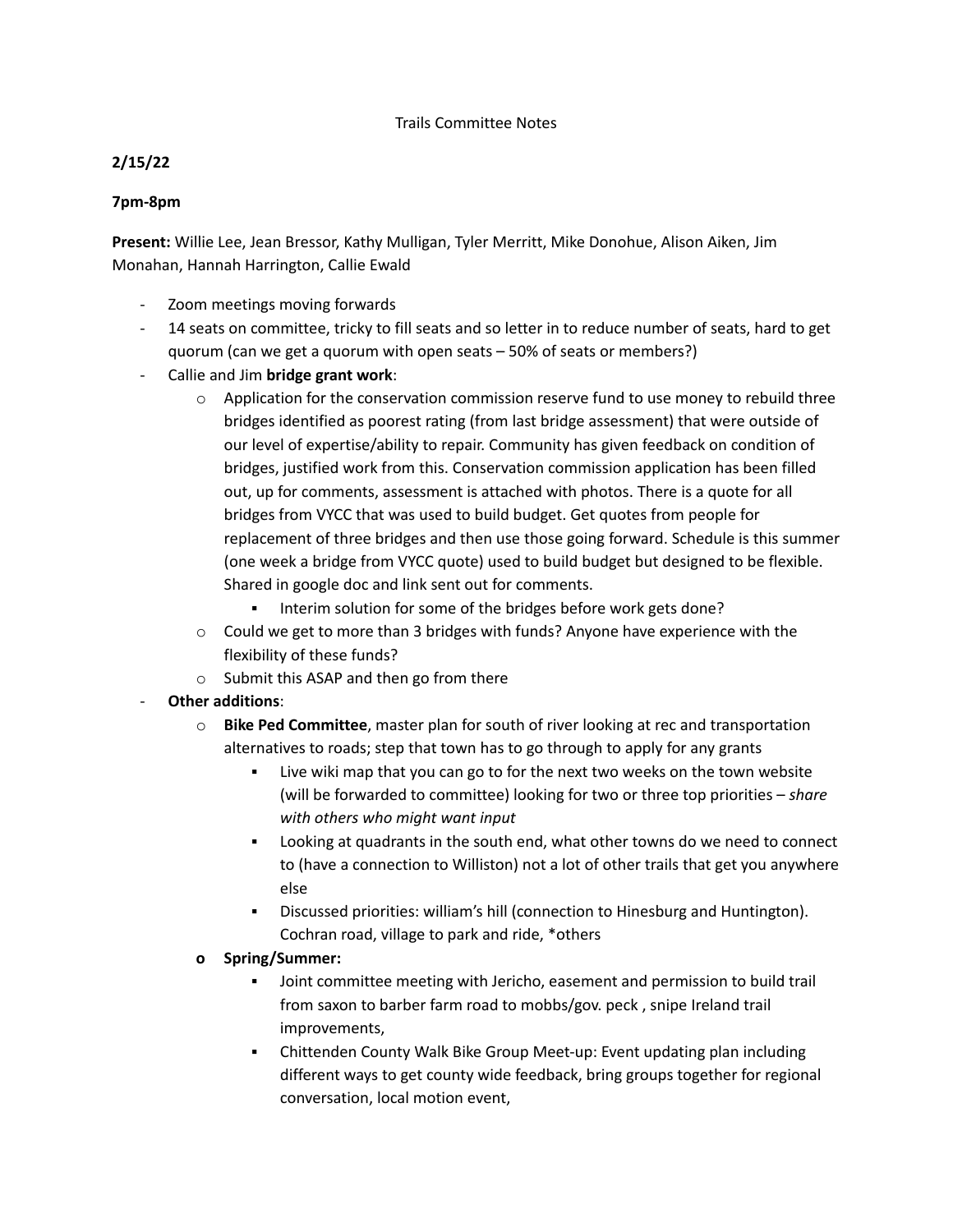## Trails Committee Notes

## **2/15/22**

## **7pm-8pm**

**Present:** Willie Lee, Jean Bressor, Kathy Mulligan, Tyler Merritt, Mike Donohue, Alison Aiken, Jim Monahan, Hannah Harrington, Callie Ewald

- Zoom meetings moving forwards
- 14 seats on committee, tricky to fill seats and so letter in to reduce number of seats, hard to get quorum (can we get a quorum with open seats – 50% of seats or members?)
- Callie and Jim **bridge grant work**:
	- $\circ$  Application for the conservation commission reserve fund to use money to rebuild three bridges identified as poorest rating (from last bridge assessment) that were outside of our level of expertise/ability to repair. Community has given feedback on condition of bridges, justified work from this. Conservation commission application has been filled out, up for comments, assessment is attached with photos. There is a quote for all bridges from VYCC that was used to build budget. Get quotes from people for replacement of three bridges and then use those going forward. Schedule is this summer (one week a bridge from VYCC quote) used to build budget but designed to be flexible. Shared in google doc and link sent out for comments.
		- Interim solution for some of the bridges before work gets done?
	- $\circ$  Could we get to more than 3 bridges with funds? Anyone have experience with the flexibility of these funds?
	- o Submit this ASAP and then go from there
- **Other additions**:
	- o **Bike Ped Committee**, master plan for south of river looking at rec and transportation alternatives to roads; step that town has to go through to apply for any grants
		- Live wiki map that you can go to for the next two weeks on the town website (will be forwarded to committee) looking for two or three top priorities – *share with others who might want input*
		- Looking at quadrants in the south end, what other towns do we need to connect to (have a connection to Williston) not a lot of other trails that get you anywhere else
		- Discussed priorities: william's hill (connection to Hinesburg and Huntington). Cochran road, village to park and ride, \*others
	- **o Spring/Summer:**
		- Joint committee meeting with Jericho, easement and permission to build trail from saxon to barber farm road to mobbs/gov. peck , snipe Ireland trail improvements,
		- Chittenden County Walk Bike Group Meet-up: Event updating plan including different ways to get county wide feedback, bring groups together for regional conversation, local motion event,